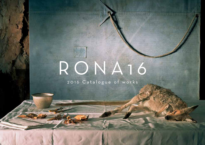# RONA16

2016 Catalogue of works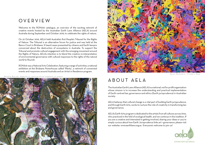# OVERVIEW

Welcome to the RONA16 catalogue, an overview of the exciting network of creative events hosted by the Australian Earth Laws Alliance (AELA) around Australia during September and October 2016, to celebrate the rights of nature.

On 22 October 2016, AELA held Australia's first People's Tribunal for the Rights of Nature. The Tribunal is an alternative forum for justice and was held at the Banco Court in Brisbane. It heard cases presented by citizens and Earth lawyers concerned about the destruction of ecosystems in Australia. To support the Tribunal and promote cultural engagement with the emerging movement around the Rights of Nature, AELA's intention is to blend the creative re-interpretation of environmental governance with cultural responses to the rights of the natural world to flourish.

RONA16 was a National Arts Celebration, featuring a range of activities: a national exhibition at the Brisbane Powerhouse called 'Plenty', a network of connected events and responses around Australia and an Artist in Residence program.

*Renata Buziak, Habitat II, 2015 archival pigment on paper*





*Karen Benjamin, Flinders Ree* 

# ABOUT AELA

The Australian Earth Laws Alliance (AELA) is a national, not for profit organisation whose mission is to increase the understanding and practical implementation of Earth centred law, governance and ethics (Earth jurisprudence) in Australian society.

AELA believes that cultural change is a vital part of building Earth jurisprudence, and through Earth Arts, works to nurture the role of creativity in transforming law and governance.

AELA's Earth Arts program is dedicated to the artists from all cultures across time, who practiced in the fold of ecological health, and we continue in this tradition. If you are a creative and interested in getting involved, sharing your ideas or you're simply curious about how Earth Jurisprudence links art + governance, please visit our website: www.earthlaws.org.au Everyone's welcome to join us!

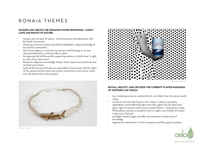# RONA16 THEMES

#### **IMAGINE AND CREATE THE PARADIGM WE'RE PROPOSING – EARTH LAWS AND RIGHTS OF NATURE**

- Humans are one part of nature interconnected, interdependent with the Earth Community
- Human governance systems should be embedded in deep knowledge of local Earth communities
- Non-human agency is vital, the non-human world belongs to no-one; vibrant biodiversity is critical to life on earth
- Recognising that all life and life supporting systems on Earth have "a right to exist, thrive and evolve"
- Respects indigenous knowledge, human 'lived' experience, emotional and spiritual connections
- holds all life sacred and balances reasonable human needs with the rights of the natural world to exist and evolve; would never prize human wants over the destruction of ecosystems





#### **REVEAL, REFLECT AND CRITIQUE THE CURRENT FLAWED PARADIGM OF WESTERN LAW WHICH**

- has created governance systems that do not reflect how the natural world works
- is built on the idea that humans 'own' nature nature is property, objectified, commodified (bought and sold), caged, fenced, destroyed
- gives 'rights' to humans and human created fictions corporations, ships. While plants, animals, ecosystems have no rights, are invisible and 'dead' in the eyes of the law
- privileges western legal, scientific and evidentiary frameworks of knowledge
- legalises the destruction of vital ecosystems and life support systems



*Alicia Lane*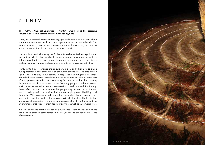# PLENTY

#### **The RONA16 National Exhibition – 'Plenty' - was held at the Brisbane Powerhouse, from September 26 to October 24, 2016**

Plenty was a national exhibition that engaged audiences with questions about our interconnectedness with, and interdependence on, the natural world. The exhibition aimed to reactivate a sense of wonder in the everyday, and to assist in the contemplation of our place on this small planet.

The industrial ruin that is today the Brisbane Powerhouse Performing art space, was an ideal site for thinking about regeneration and transformation, as it is a defunct coal fired electrical power station architecturally transformed into a healthy, historically aware and resource efficient site for creative activities.

Plenty invited us to consider the culture we live in, and which acts to shape our appreciation and perception of the world around us. The arts have a significant role to play in our continued adaptation and mitigation of change, not only through sharing unthinkable dystopian futures, but also by being part of a progressive attitude that is searching for solutions rather than creating the fear that can often arrest our action. Art brings people together in a social environment where reflection and conversation is welcome and it is through these reflections and conversations that people may develop motivation and start to participate in communities that are working to protect the things that they value. We increasingly understand that human health and happiness are inseparable from the health of the ecosystems in which we live. The fascination and sense of connection we feel while observing other living things and the environments that support them, feed our spiritual as well as our physical lives.

It is the significance of art that it can help audiences reflect on their own values and develop personal standpoints on cultural, social and environmental issues of importance.

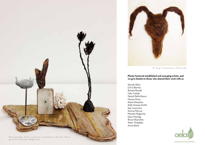



*Dr Kay S Lawrence, Plenitude*

**Plenty featured established and emerging artists, and we give thanks to those who shared their work with us** 

Davida Allen Chris Bennie Renata Buziak Felix Cehak Daniel Della Bosca Marian Drew Alana Hampton Kelly Hussey-Smith Kay Lawrence Donna Marcus Merete Megarrity Daro Montag Bruce Reynolds Peter Thiedeke Aviva Reed



*by artist Merete Megarrity*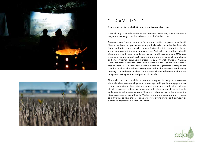



# "TRAVERSE"

#### **Student arts exhibition, the Powerhouse**

More than 300 people attended the 'Traverse' exhibition, which featured a projection evening at the Powerhouse on 20th October 2016.

Traverse arose from an intensive focus on and artistic exploration of North Stradbroke Island, as part of an undergraduate arts course led by Associate Professor Marian Drew and artist Renata Buziak, at Griffith University. The art works were created during an intensive 5 day 'in-field' art expedition to North Stradbroke Island. Leading up to the five days on the island in July 2016, were a series of lectures about earth centred law and governance, climate change and environmental sustainability, presented by Dr Michelle Maloney, National Convenor of the Australian Earth Laws Alliance. On the island the art students met scientist Dr Jan Aldenhoven, who outlined the geological history of the island, as well as the political history involved in the extensive sand mining industry. Quandomooka elder, Aunty Joan, shared information about the indigenous history, culture and politics of the island.

The walks, talks and workshops, were all designed to heighten awareness, stimulate ideas, create dialogue and encourage participants to engage a visual response, drawing on their existing art practice and interests. It is the challenge of art to present probing narratives and refreshed perspectives that invite audiences to ask questions about their own relationships to the art and the ideas presented through the art. Much of the work focused on what it means to individuals to have the xperience of natural environmetns and its impact on a person's physical and mental well-being.

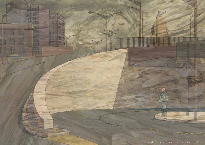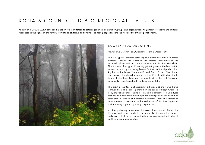# RONA16 CONNECTED BIO-REGIONAL EVENTS

**As part of RONA16, AELA extended a nation-wide invitation to artists, galleries, community groups and organisations to generate creative and cultural responses to the rights of the natural world to exist, thrive and evolve. The next 5 pages feature the work of the 2016 regional events.**



## EUCALYPTUS DREAMING

Nowa Nowa Caravan Park, Gippsland - 6pm, 8 October 2016

The Eucalyptus Dreaming gathering and exhibition worked to create awareness about, and reconfirm and explore connections to, the bush, wild places and the vibrant biodiversity of Far East Gippsland. The first ever Eucalyptus Dreaming gathering was in the bush within an area covered by the mining license footprint of the Gippsland Iron Pty Ltd for the Nowa Nowa Iron Pit and Slurry Project. The pit and slurry project threatens the unique Far East Gippsland biodiversity, its Ramsar Listed Lake Tyers, and the very fabric of the East Gippsland community - socially, culturally and environmentally.

The artist presented a photography exhibition at the Nowa Nowa Caravan Park. This Park is perched on the banks of Boggy Creek – a body of pristine water leading directly to the Ramsar listed Lake Tyers that will be most effected by the pit and slurry project. The exhibition stimulated discussion and created awareness about the threats of mineral resource extraction in the wild places of Far East Gippsland that are being targeted by mining corporations.

At the gathering attendees discussed ideas about Eucalyptus Dreaming and connection to the bush, and also discussed the changes and projects that can be pursued to help promote an understanding of earth laws in our communites.

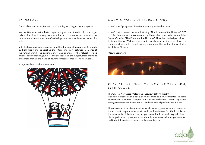## BY NATURE

The Chalice, Northcote, Melbourne - Saturday 27th August 2016 2- 7.30pm

Wycinanki is an ancestral Polish papercutting art form linked to old rural pagan beliefs. Traditionally a very nature-centric art, its creative purpose was the celebration of seasons, of nature's offerings to humans, of humans' respect for nature.

In By Nature, wycinanki was used to further the idea of a nature-centric world by highlighting and celebrating the interconnectivity between elements of the natural world. The common origin and oneness of the natural world is emphasized by blending subjects and shapes within the subject; trees are made of animals, animals are made of flowers, forests are made of human words…

#### http://www.blackbirdsandtrees.com



## COSMIC WALK: UNIVERSE STORY

MoonCourt, Springwood, Blue Mountains - 3 September 2016

MoonCourt screened the award winning "The Journey of the Universe" DVD by Brian Swimme, who was mentored by Thomas Berry, and selections of Brian Swimme's series "The Powers of the Universe". They then invited participants to join a Cosmic Walk ceremony which celebrates the Universe Story. The event concluded with a short presentation about the work of the Australian Earth Laws Alliance.

#### http://pagaian.org



# PLAY AT THE CHALICE, NORTHCOTE - 6PM, 27TH AUGUST

The Chalice, Northcote, Melbourne - Saturday 27th August 2016, Mandate of Heaven was a spiritual/philosophical and environmental and social commentary play that critiqued our current civilization's modus operandithrough interactive audience address and audio visual performance method.

The work reflected on the ethics of human dominance, governance and ownership, the economic imperative of worth and the foundations for life. It spoke for the community of life from the perspective of the intercessionary principle. It challenged current governance models in light of universal interspecies ethics and invited the audience to contemplation and action.

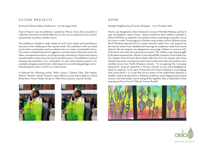## FUTURE PROJECTS

Brunswick Street Gallery, Melbourne - 5 to 18 August 2016

Future Projects was an exhibition curated by Miriam Arbus that presented a collection of project-oriented reflection on how we can respond to our present, and promise ourselves a better future.

The exhibition included a wide variety of work, from artists and practitioners focused on the wellbeing of the natural world. The exhibited works provided constructive commentary and provoked action to create a sustainable future. The works included theoretical suggestion and discussion, blue-print plans for ideas, conceptual evocation, recycling/reusing, summations of physical projects enacted within community, and community intervention. The exhibition involved showing documentation of a culmination of such action-based projects. For example: salvaging wasted food; collecting and re-constituting garbage and reinterpreting the ways in which we create power.

It featured the following artists: Philip Jopson, Caelene Glen, Seb Kainey, Werner Theinert, Ursula Theinert, Jassy Watson, Louise Kate Anderson, Maria Richardson, Simon Duiker, Hung Lin, Hello Pony Express, Laura B. Brodie.





## HOME

Nundah Neighbourhood Centre, Brisbane - 7 to 9 October 2016

'Home' was designed by AELA National Convenor Michelle Maloney and her 8 year old daughter, Jessica Sauer. Jessica wanted to have children included in AELA's RONA16, so asked her art teachers if they could design a specific course for a term in 2016. From August to October 2016, primary school children across North Brisbane learned how to create artworks made from, and inspired by, the natural world. From detailed leaf drawings to sculptures made from found objects, this art program was designed to encourage children to connect with, think about and value the natural environment. The children were being taught by Brisbane based artists, Wendy Cumes-Rowell (BA Visual Art, Post Grade Fine Art, Masters Fine Art) and Alicia Hollier (BA Fine Art). Art classes with 'Artist Wendy' have been running since 2007 and in 2016, more than 130 students were enrolled across four North Brisbane schools. "In recognising the increasing demand for visual art expertise in Primary schools, we are acknowledging the value of creativity. To be part of that kind of forward thinking is encouraging. Now particularly, it is crucial that we are aware of the relationship between a healthy creative faculty and our children's academic, psychological and practical futures. And what better way to bring all this together, than a celebration of the amazing world we live in?" (Wendy Cumes-Rowell)



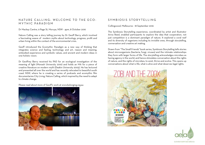# NATURE CALLING: WELCOME TO THE ECO - MYTHIC PARADIGM

Dr Mackay Centre, 9 Page St, Moruya, NSW - 4pm, 8 October 2016

Nature Calling was a story telling journey by Dr Geoff Berry, which involved a fascinating weave of modern myths about technology, progress, profit and urban living within the context of the environmental crisis.

Geoff introduced the Ecomythic Paradigm as a new way of thinking that integrates science and feeling, technology and art, reason and meaning, embodied experience and symbolic values, and ancient and modern ideas in one holistic vision.

Dr Geoffrey Berry received his PhD for an ecological investigation of the meaning of light (Monash University 2010) and holds an MA for a piece of creative literature on modern myth (Deakin University 2005). He has lectured and presented all over the world and has recently relocated to beautiful south coast NSW, where he is creating a series of podcasts and ecomythic film documentaries City Living, Nature Calling, which inspired by the need to adapt to climate change.

Please read about more of Geoff's work at www.belonging.org.au



## SYMBIOSIS STORYTELLING

Collingwood, Melbourne - 18 September 2016

The Symbiosis Storytelling experience, coordinated by artist and illustrator Aviva Reed, enabled participants to explore the idea that cooperation, not just competition is a dominant paradigm of nature. It explored a coral reef and its diversity of organisms including its invisible ones, through storytelling, conversation and creative art making.

Drawn from "The Small Friends" book series, Symbiosis Storytelling tells stories about microorganisms (bacteria, fungi, viruses) and the intimate relationships they form with larger forms of life. The storytelling acknowledges microbes as having agency in the world, and hence stimulates conversation about the rights of nature, and the rights of microbes, to exist, thrive and evolve. This opens up conversations about what is life, what is alive and what deserves legal rights.



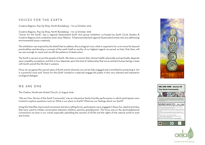# VOICES FOR THE EARTH

Creative Regions, Pop Up Shop, North Bundaberg - 7 to 14 October 2016

#### Creative Regions, Pop Up Shop, North Bundaberg - 7 to 14 October 2016

"Voices for the Earth" was a regional Queensland Earth Arts group exhibition co-hosted by Earth Circle Studios & Creative Regions and curated by artist Jassy Watson. It featured selected regional Queensland artists who are addressing environmental issues creatively.

The exhibition was inspired by the belief that to address the ecological crisis, what is required is for us to move far beyond practicalities and develop a concept of the earth itself as worthy of our highest regard—as sacred, as holy. Only then, will we care enough to resist and recraft the patterns of destruction.

The Earth is sacred, as are the people of Earth. We share a common fate. Human health, physically and spiritually, depends upon a healthy ecosphere, and this in turn depends upon the kind of relationship that we as sentient human beings create with Earth and all the life that it sustains.

Once we recognise the sacred value of Earth and its diversity we can be fully engaged and committed to protecting it. Art is a powerful voice and 'Voices for the Earth' worked to creatively engage the public in this very relevant and imperative ecological dialogue.

## WE ARE ONE

The Chalice, Northcote United Church, 27 August 2016

"We are One, Stories of the Earth Community" was an interactive family friendly performance in which participants were invited to explore questions such as: What is our place on Earth? What are our feelings about our Earth?

Using the InterPlay improvised movement and story telling forms, participants were engaged in these fun, playful activities that were used to initiate conversation between children, parents, grandparents. The focus was on the spiritual/physical connections we have in our world; especially upholding the sanctity of all life and the rights of the natural world to exist and evolve.





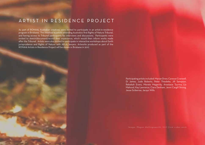# ARTIST IN RESIDENCE PROJECT

As part of RONA16, Australian creatives were invited to participate in an artist-in-residence program in Brisbane. This involved 15 artists attending Australia's first Rights of Nature Tribunal, and having access to Tribunal participants for interviews and discussions. Participants were invited to sketch/document/record their experience, which would then inform works made after the Tribunal. Artists were also invited to participate in interactive workshops about Earth jurisprudence and Rights of Nature with AELA lawyers. Artworks produced as part of the RONA16 Artists in Residence Project will be shown in Brisbane in 2017.

> Participating artists included: Marian Drew, Caresse Cranwell, Di James, Jude Roberts, Peter Thiedeke, Jill Sampson, Rebekah Evans, Merete Megarrity, Anastasia Tyurina, Liz Mahood, Kay Lawrence, Ciara Denham, Jenni Cargill Strong, Jesse Sciberras, Jacqui Wills.